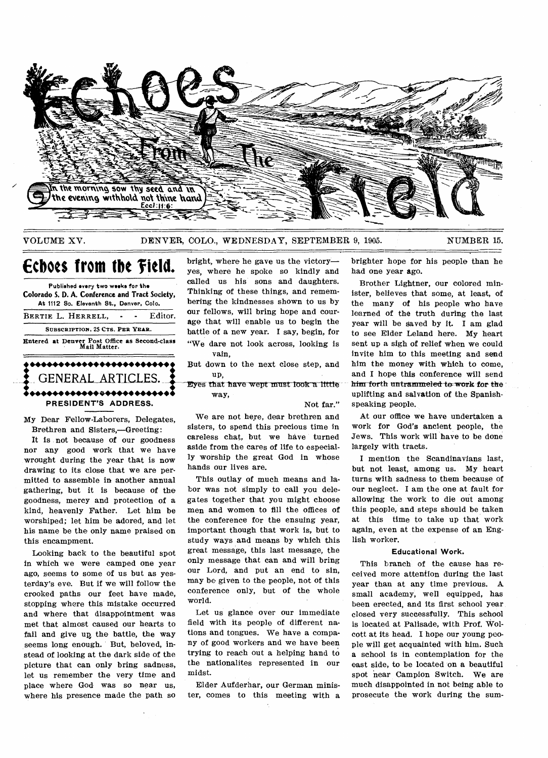

### VOLUME XV. DENVER, COLO., WEDNESDAY, SEPTEMBER 9, 1905. NUMBER 15.

# **Echoes from the Field.**

Published every **two weeks for the Colorado S. D. A. Conference** and Tract Society, At 1112 So. Eleventh St., Denver, Colo. BERTIE L. HERRELL. - - Editor. SUBSCRIPTION, 25 CTS. PER YEAR. Entered at Denver Post Office as Second-class "W<sub>Mail Matter</sub>.<br> **1980 - 1980 - 1980 - 1980 - 1980 - 1980 - 1980 - 1980 - 1980 - 1980 - 1980 - 1980 - 1980 - 1980 - 1980 - 1980 - 1980 - 1980 - 1980 - 1980 - 1980 - 1980 - 198** •••••• •••••••••••• •••••• way, •••••• •••••••••••• •••••• GENERAL ARTICLES. **PRESIDENT'S ADDRESS.** 

My Dear Fellow-Laborers, Delegates, Brethren and Sisters,—Greeting:

It is not because of our goodness nor any good work that we have wrought during the year that is now drawing to its close that we are permitted to assemble in another annual gathering, but it is because of the goodness, mercy and protection of a kind, heavenly Father. Let him be worshiped; let him be adored, and let his name be the only name praised on this encampment.

Looking back to the beautiful spot in which we were camped one year ago, seems to some of us but as yesterday's eve. But if we will follow the crooked paths our feet have made, stopping where this mistake occurred and where that disappointment was met that almost caused our hearts to fail and give up, the battle, the way seems long enough. But, beloved, instead of looking at the dark side of the picture that can only bring sadness, let us remember the very time and place where God- was so near us, where his presence made the path so bright, where he gave us the victory yes, where he spoke so kindly and called us his sons and daughters. Thinking of these things, and remembering the kindnesses shown to us by our fellows, will bring hope and courage that will enable us to begin the battle of a new year. I say, begin, for "We dare not look across, looking is vain,

But down to the next close step, and up,

Eyes that have wept must look a little

Not far."

We are not here, dear brethren and sisters, to spend this precious time in careless chat, but we have turned aside from the cares of life to especially worship the great God in whose hands our lives are.

This outlay of much means and labor was not simply to call you delegates together that you might choose men and women to fill the offices of the conference for the ensuing year, important though that work is, but to study ways and means by which this great message, this last message, the only message that can and will bring our Lord, and put an end to sin, may be given to the people, not of this conference only, but of the whole world.

Let us glance over our immediate field with its people of different nations and tongues. We have a company of good workers and we have been trying to reach out a helping hand to the nationalites represented in our midst.

Elder Aufderhar, our German minister, comes to this meeting with a brighter hope for his people than he had one year ago.

Brother Lightner, our colored minister, believes that some, at least, of the many of his people who have learned of the truth during the last year will be Saved by it. I am glad to see Elder Leland here. My heart sent up a sigh of relief when we could invite him to this meeting and send him the money with which to come, and I hope this conference will send him forth untrammeled to work for the uplifting and salvation of the Spanishspeaking people.

At our office we have undertaken a work for God's ancient people, the Jews. This work will have to be done largely with tracts.

I mention the Scandinavians last, but not least, among us. My heart turns with sadness to them because of our neglect. I am the one at fault for allowing the work to die out among this people, and steps should be taken at this time to take up that work again, even at the expense of an English worker.

#### **Educational Work.**

This branch of the cause has received more attention during the last year than at any time previous. A small academy, well equipped, has been erected, and its first school year closed very successfully. This school is located at Palisade, with Prof. Wolcott at its head. I hope our young people will get acquainted with him. Such a school is in contemplation for the east side, to be located on a beautiful spot near Campion Switch. We are much disappointed in not being able to prosecute the work during the sum-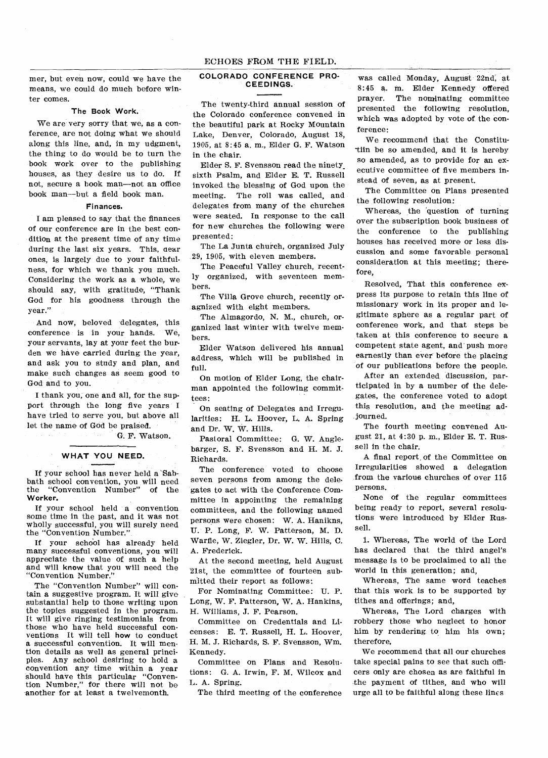## ECHOES FROM THE FIELD.

mer, but even now, could we have the means, we could do much before winter comes.

### **The Book Work.**

We are very sorry that we, as a conference, are not doing what we should along this line, and, in my udgment, the thing to do would be to turn the book work over to the publishing houses, as they desire us to do. If not, secure a book man—not an office book man—but a field book man.

## **Finances.**

**I** am pleased to say that the finances of our conference are in the best condition at the present time of any time during the last six years. This, dear ones, is largely due to your faithfulness, for which we thank you much. Considering the work as a whole, we should say, with gratitude, "Thank God for his goodness through the year."

And now, beloved delegates, this conference is in your hands. We, your servants, lay at your feet the burden we have carried during the year, and ask you to study and plan, and make such changes as seem good to God and to you.

I thank you, one and all, for the support through the long five years I have tried to serve you, but above all let the name of God be praised.

G. F. Watson.

### **WHAT YOU NEED.**

If your school has never held a 'Sabbath school convention, you will need the "Convention Number" of the **Worker.** 

If your school held a convention some time in the past, and it was not wholly successful, you will surely need the "Convention Number."

If your school has already held many successful conventions, you will appreciate the value of such a help and will **know** that you will need the "Convention Number."

The "Convention Number" will contain a suggestive program. It will give substantial help to those writing upon the topics suggested in the program. It will give ringing testimonials from those who have held successful conventions It will tell **how** to conduct a successful convention. It will mention details as well as general principles. Any school desiring to hold a convention any time within a year should have this particular "Convention Number," for there will not be another for at least a twelvemonth.

## **COLORADO CONFERENCE PRO-CEEDINGS.**

The twenty-third annual session of the Colorado conference convened in the beautiful park at Rocky Mountain Lake, Denver, Colorado, August 18, 1905, at 8:45 a. m., Elder G. F. Watson in the chair.

Elder S. F. Svensson read the ninety\_ sixth Psalm, and Elder E. T. Russell invoked the blessing of God upon the meeting. The roll was called, and delegates from many of the churches were seated. In response to the call for new churches the following were presented:

The La Junta church, organized July 29, 1905, with eleven members.

The Peaceful Valley church, recently organized, with seventeen members.

The Villa Grove church, recently oragnized with eight members.

The Almagordo, N. M., church, organized last winter with twelve members.

Elder Watson delivered his annual address, which will be published in full.

On motion of Elder Long, the chairman appointed the following committees:

On seating of Delegates and Irregularities: H. L. Hoover, L. A. Spring and Dr. W. W. Hills.

Pastoral Committee: G. W. Anglebarger, S. F. Svensson and H. M. J. Richards.

The conference voted to choose seven persons from among the delegates to act with the Conference Committee in appointing the remaining committees, and the following named persons were chosen: W. A. Hanikns, U. P. Long, F. W. Patterson, M. D. Warfle, W. Ziegler, Dr. W. W. Hills, C. A. Frederick.

At the second meeting, held August '21st, the committee of fourteen submitted their report as follows:

For Nominating Committee: U. P. Long, W. F. Patterson, W. A. Hankins, H. Williams, J. F. Pearson.

Committee on Credentials and Licenses: E. T. Russell, H. L. Hoover, H. M. J. Richards, S. F. Svensson, Wm. Kennedy.

Committee on Plans and Resolutions: G. A. Irwin, F. M. Wilcox and L. A. Spring.

The third meeting of the conference

was called Monday, August 22nd, at 8:45 a. m. Elder Kennedy offered prayer. The nominating committee presented the following resolution, which was adopted by vote of the conference:

We recommend that the Constitu- -tiin be so amended, and it is hereby so amended, as to provide for an executive committee of five members instead of seven, as at present.

The Committee on Plans presented the following resolution:

Whereas, the 'question of turning over the subscription book business of the conference to the publishing houses has received more or less discussion and some favorable personal consideration at this meeting; therefore,

Resolved, That this conference express its purpose to retain this line of missionary work in its proper and legitimate sphere as a regular part of conference work, and that steps be taken at this conference to secure a competent state agent, and push more earnestly than ever before the placing of our publications before the people.

After an extended discussion, participated in by a number of the delegates, the conference voted to adopt this resolution, and the meeting adjourned.

The fourth meeting convened August 21, at 4:30 p. m., Elder E. T. Russell in the chair.

A final report, of the Committee on Irregularities showed a delegation from the various churches of over 115 persons.

None of the regular committees being ready to report, several resolutions were introduced by Elder Russell.

1. Whereas, The world of the Lord has declared that the third angel's message is to be proclaimed to all the world in this generation; and,

Whereas, The same word teaches that this work is to be supported by tithes and offerings; and,

Whereas, The Lord charges with robbery those who neglect to honor him by rendering to him his own; therefore,

We recommend that all our churches take special pains to see that such officers only are chosen as are faithful in the payment of tithes, and who will urge all to be faithful along these lines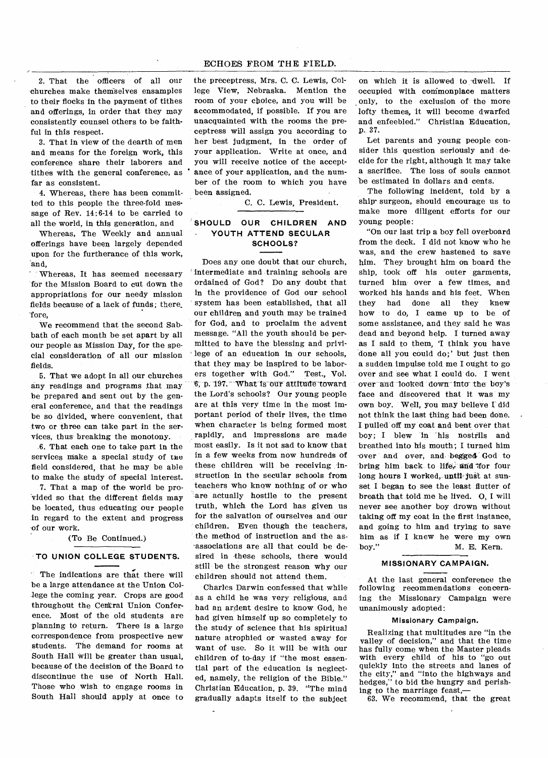## ECHOES FROM THE FIELD.

2. That the officers of all our churches make theniselves ensamples to their flocks in the payment of tithes and offerings, in order that they may consistently counsel others to be faithful in this respect.

3. That in view of the dearth of men and means for the foreign work, this conference share their laborers and tithes with the general conference, as far as consistent.

4. Whereas, there has been committed to this people the three-fold message of Rev. 14:6-14 to be carried to all the world, in this generation, and

Whereas, The Weekly and annual offerings have been largely depended upon for the furtherance of this work, and,

Whereas, It has seemed necessary for the Mission Board to cut down the appropriations for our needy mission fields because of a lack of funds; there\_ 'fore,

We recommend that the second Sabbath of each month be set apart by all our people as Mission Day, for the special consideration of all our mission fields.

5. That we adopt in all our churches any readings and programs that may be prepared and sent out by the general conference, and that the readings be so divided, where convenient, that two or three can take part in the services, thus breaking the monotony.

6. That each one to take part in the services make a special study of the field considered, that he may be able to make the study of special interest.

7. That a map of the world be pro-Vided so that the different fields may be located, thus educating our people in regard to the extent and progress -of our work.

(To Be Continued.)

# **TO UNION COLLEGE STUDENTS.**

• The indications are that there will be a large attendance at the Union College the coming year. Crops are good throughout the Cerkral Union Conference. Most of the old students are planning to return. There is a large correspondence from prospective new students. The demand for rooms at South Hall will be greater than usual, because of the decision of the Board to discontinue the use of North Hall. Those who wish to engage rooms in South Hall should apply at once to

the preceptress, Mrs. C. C. Lewis, College View, Nebraska. Mention the room of your choice, and you will be accommodated, if possible. If you are unacquainted with the rooms the preceptress will assign you according to her best judgment, in the order of your application. Write at once, and you will receive notice of the accept ance of your application, and the number of the room to which you have been assigned.

C. C. Lewis, President.

# **SHOULD OUR CHILDREN AND YOUTH ATTEND SECULAR SCHOOLS?**

Does any one doubt that our church, intermediate and training schools are ordained of God? Do any doubt that in the providence of God our school system has been established, that all our children and youth may be trained for God, and to proclaim the advent message. "All the youth should be permitted to have the blessing and privi lege of an education in our schools, that they may be inspired to be laborers together with God." Test., Vol. p. 197. What Is our attitude toward the Lord's schools? Our young people are at this very time in the most important period of their lives, the time when character is being formed most rapidly, and impressions are made most easily. Is it not sad to know that in a few weeks from now hundreds of these children will be receiving instruction in the secular schools from teachers who know nothing of or who are actually hostile to the present truth, which the Lord has given us for the salvation of ourselves and our children. Even though the teachers, the method of instruction and the as- -associations are all that could be desired in these schools, there would still be the strongest reason why our children should not attend them.

Charles Darwin confessed that while as a child he was very religious, and had an ardent desire to know God, he had given himself up so completely to the study of science that his spiritual nature atrophied or wasted away for want of use. So it will be with our children of to-day if "the most essential part of the education is neglected, namely, the religion of the Bible." Christian Education, p. 39. "The mind gradually adapts itself to the subject

on which it is allowed to dwell. If occupied with commonplace matters only, to the exclusion of the more lofty themes, it will become dwarfed and enfeebled." Christian Education, p., 37.

Let parents and young people consider this question seriously and decide for the right, although it may take a sacrifice. The loss of souls cannot be estimated in dollars and cents.

The following incident, told by a ship-surgeon, should encourage us to make more diligent efforts for our young people:

"On our last trip a boy fell overboard from the deck. I did not know who he was, and the crew hastened to save him. They brought him on board the ship, took off his outer garments, turned him over a few times, and worked his hands and his feet. When they had done all they knew how to do, I came up to be of some assistance, and they said he was dead and beyond help. I turned away as I said to them, 'I think you have done all you could do;' but just then a sudden impulse told me I ought to go over and see what I could do. I went over and-looked down-Into-the boy's face and discovered that it was my own boy. Well, you may believe I did not think the last thing had been done. I pulled off my coat and bent over that boy; I blew in 'his nostrils and breathed into his mouth; I turned him over and over, and begged God to bring him back to life, and for four long hours I worked, until-just at sunset I began to see the least flutter of breath that told me he lived. 0, I will never see another boy drown without taking off my coat in the first instance, and going to him and trying to save him as if I knew he were my own<br>boy." M. E. Kern. M. E. Kern.

## **MISSIONARY CAMPAIGN.**

At the last general conference the following recommendations concerning the Missionary Campaign were unanimously adopted:

# **Missionary Campaign.**

Realizing that multitudes are "in the valley of decision," and that the time has fully come when the Master pleads<br>with every child of his to "go out with every child of his to ' quickly into the streets and lanes of the city," and "into the highways and hedges," to bid the hungry and perishing to the marriage feast,-

63. We recommend, that the great